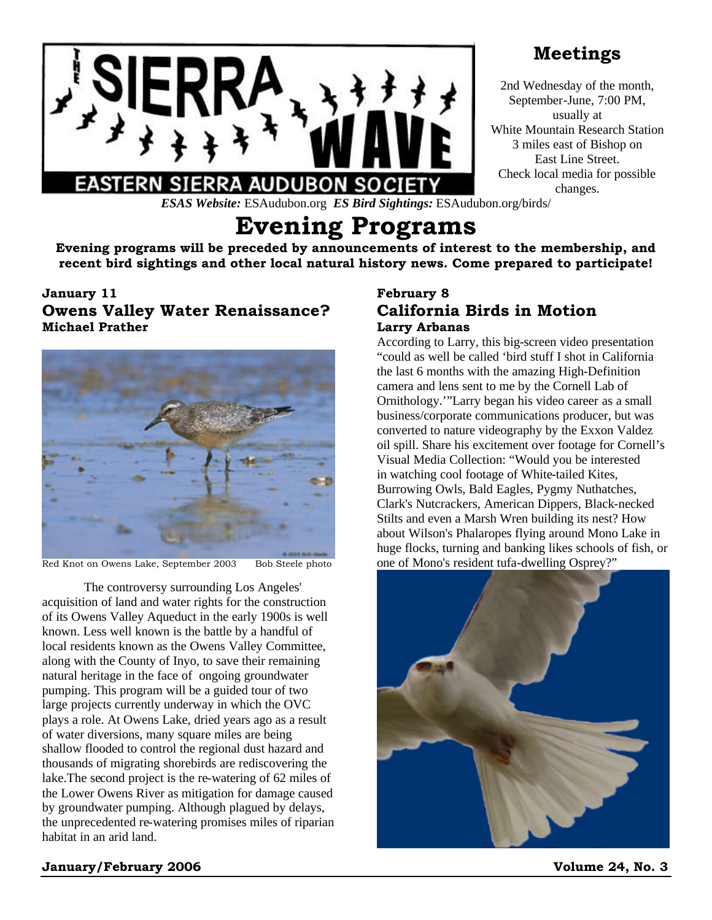

## **Meetings**

2nd Wednesday of the month, September-June, 7:00 PM, usually at White Mountain Research Station 3 miles east of Bishop on East Line Street. Check local media for possible changes.

*ESAS Website:* ESAudubon.org *ES Bird Sightings:* ESAudubon.org/birds/

# **Evening Programs**

**Evening programs will be preceded by announcements of interest to the membership, and recent bird sightings and other local natural history news. Come prepared to participate!**

## **January 11 Owens Valley Water Renaissance?**

**Michael Prather**



Red Knot on Owens Lake, September 2003 Bob Steele photo

The controversy surrounding Los Angeles' acquisition of land and water rights for the construction of its Owens Valley Aqueduct in the early 1900s is well known. Less well known is the battle by a handful of local residents known as the Owens Valley Committee, along with the County of Inyo, to save their remaining natural heritage in the face of ongoing groundwater pumping. This program will be a guided tour of two large projects currently underway in which the OVC plays a role. At Owens Lake, dried years ago as a result of water diversions, many square miles are being shallow flooded to control the regional dust hazard and thousands of migrating shorebirds are rediscovering the lake.The second project is the re-watering of 62 miles of the Lower Owens River as mitigation for damage caused by groundwater pumping. Although plagued by delays, the unprecedented re-watering promises miles of riparian habitat in an arid land.

## **February 8 California Birds in Motion Larry Arbanas**

According to Larry, this big-screen video presentation "could as well be called 'bird stuff I shot in California the last 6 months with the amazing High-Definition camera and lens sent to me by the Cornell Lab of Ornithology.'"Larry began his video career as a small business/corporate communications producer, but was converted to nature videography by the Exxon Valdez oil spill. Share his excitement over footage for Cornell's Visual Media Collection: "Would you be interested in watching cool footage of White-tailed Kites, Burrowing Owls, Bald Eagles, Pygmy Nuthatches, Clark's Nutcrackers, American Dippers, Black-necked Stilts and even a Marsh Wren building its nest? How about Wilson's Phalaropes flying around Mono Lake in huge flocks, turning and banking likes schools of fish, or one of Mono's resident tufa-dwelling Osprey?"



## **January/February 2006 Volume 24, No. 3**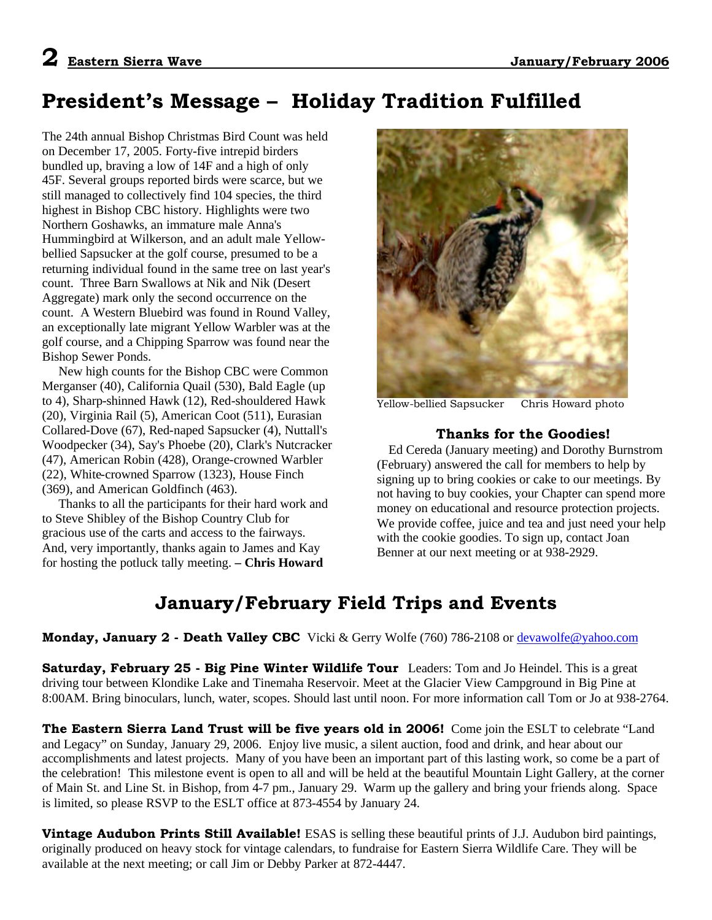# **President's Message – Holiday Tradition Fulfilled**

The 24th annual Bishop Christmas Bird Count was held on December 17, 2005. Forty-five intrepid birders bundled up, braving a low of 14F and a high of only 45F. Several groups reported birds were scarce, but we still managed to collectively find 104 species, the third highest in Bishop CBC history. Highlights were two Northern Goshawks, an immature male Anna's Hummingbird at Wilkerson, and an adult male Yellowbellied Sapsucker at the golf course, presumed to be a returning individual found in the same tree on last year's count. Three Barn Swallows at Nik and Nik (Desert Aggregate) mark only the second occurrence on the count. A Western Bluebird was found in Round Valley, an exceptionally late migrant Yellow Warbler was at the golf course, and a Chipping Sparrow was found near the Bishop Sewer Ponds.

 New high counts for the Bishop CBC were Common Merganser (40), California Quail (530), Bald Eagle (up to 4), Sharp-shinned Hawk (12), Red-shouldered Hawk (20), Virginia Rail (5), American Coot (511), Eurasian Collared-Dove (67), Red-naped Sapsucker (4), Nuttall's Woodpecker (34), Say's Phoebe (20), Clark's Nutcracker (47), American Robin (428), Orange-crowned Warbler (22), White-crowned Sparrow (1323), House Finch (369), and American Goldfinch (463).

 Thanks to all the participants for their hard work and to Steve Shibley of the Bishop Country Club for gracious use of the carts and access to the fairways. And, very importantly, thanks again to James and Kay for hosting the potluck tally meeting. **– Chris Howard**



Yellow-bellied Sapsucker Chris Howard photo

## **Thanks for the Goodies!**

Ed Cereda (January meeting) and Dorothy Burnstrom (February) answered the call for members to help by signing up to bring cookies or cake to our meetings. By not having to buy cookies, your Chapter can spend more money on educational and resource protection projects. We provide coffee, juice and tea and just need your help with the cookie goodies. To sign up, contact Joan Benner at our next meeting or at 938-2929.

## **January/February Field Trips and Events**

#### **Monday, January 2 - Death Valley CBC** Vicki & Gerry Wolfe (760) 786-2108 or devawolfe@yahoo.com

**Saturday, February 25 - Big Pine Winter Wildlife Tour** Leaders: Tom and Jo Heindel. This is a great driving tour between Klondike Lake and Tinemaha Reservoir. Meet at the Glacier View Campground in Big Pine at 8:00AM. Bring binoculars, lunch, water, scopes. Should last until noon. For more information call Tom or Jo at 938-2764.

**The Eastern Sierra Land Trust will be five years old in 2006!** Come join the ESLT to celebrate "Land and Legacy" on Sunday, January 29, 2006. Enjoy live music, a silent auction, food and drink, and hear about our accomplishments and latest projects. Many of you have been an important part of this lasting work, so come be a part of the celebration! This milestone event is open to all and will be held at the beautiful Mountain Light Gallery, at the corner of Main St. and Line St. in Bishop, from 4-7 pm., January 29. Warm up the gallery and bring your friends along. Space is limited, so please RSVP to the ESLT office at 873-4554 by January 24.

**Vintage Audubon Prints Still Available!** ESAS is selling these beautiful prints of J.J. Audubon bird paintings, originally produced on heavy stock for vintage calendars, to fundraise for Eastern Sierra Wildlife Care. They will be available at the next meeting; or call Jim or Debby Parker at 872-4447.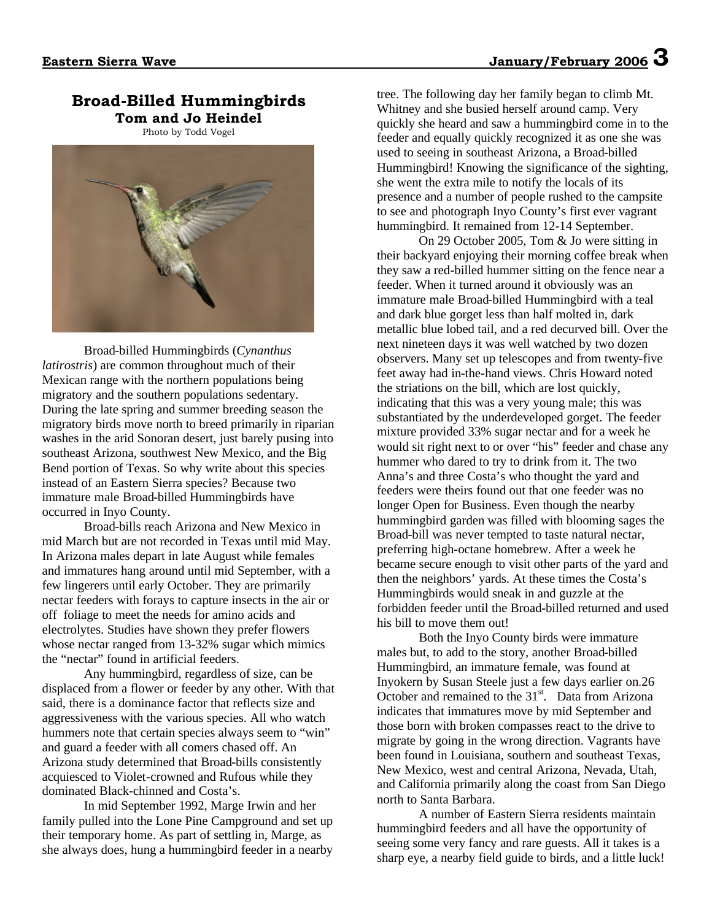## **Broad-Billed Hummingbirds Tom and Jo Heindel**

Photo by Todd Vogel



Broad-billed Hummingbirds (*Cynanthus latirostris*) are common throughout much of their Mexican range with the northern populations being migratory and the southern populations sedentary. During the late spring and summer breeding season the migratory birds move north to breed primarily in riparian washes in the arid Sonoran desert, just barely pusing into southeast Arizona, southwest New Mexico, and the Big Bend portion of Texas. So why write about this species instead of an Eastern Sierra species? Because two immature male Broad-billed Hummingbirds have occurred in Inyo County.

Broad-bills reach Arizona and New Mexico in mid March but are not recorded in Texas until mid May. In Arizona males depart in late August while females and immatures hang around until mid September, with a few lingerers until early October. They are primarily nectar feeders with forays to capture insects in the air or off foliage to meet the needs for amino acids and electrolytes. Studies have shown they prefer flowers whose nectar ranged from 13-32% sugar which mimics the "nectar" found in artificial feeders.

Any hummingbird, regardless of size, can be displaced from a flower or feeder by any other. With that said, there is a dominance factor that reflects size and aggressiveness with the various species. All who watch hummers note that certain species always seem to "win" and guard a feeder with all comers chased off. An Arizona study determined that Broad-bills consistently acquiesced to Violet-crowned and Rufous while they dominated Black-chinned and Costa's.

In mid September 1992, Marge Irwin and her family pulled into the Lone Pine Campground and set up their temporary home. As part of settling in, Marge, as she always does, hung a hummingbird feeder in a nearby

tree. The following day her family began to climb Mt. Whitney and she busied herself around camp. Very quickly she heard and saw a hummingbird come in to the feeder and equally quickly recognized it as one she was used to seeing in southeast Arizona, a Broad-billed Hummingbird! Knowing the significance of the sighting, she went the extra mile to notify the locals of its presence and a number of people rushed to the campsite to see and photograph Inyo County's first ever vagrant hummingbird. It remained from 12-14 September.

On 29 October 2005, Tom & Jo were sitting in their backyard enjoying their morning coffee break when they saw a red-billed hummer sitting on the fence near a feeder. When it turned around it obviously was an immature male Broad-billed Hummingbird with a teal and dark blue gorget less than half molted in, dark metallic blue lobed tail, and a red decurved bill. Over the next nineteen days it was well watched by two dozen observers. Many set up telescopes and from twenty-five feet away had in-the-hand views. Chris Howard noted the striations on the bill, which are lost quickly, indicating that this was a very young male; this was substantiated by the underdeveloped gorget. The feeder mixture provided 33% sugar nectar and for a week he would sit right next to or over "his" feeder and chase any hummer who dared to try to drink from it. The two Anna's and three Costa's who thought the yard and feeders were theirs found out that one feeder was no longer Open for Business. Even though the nearby hummingbird garden was filled with blooming sages the Broad-bill was never tempted to taste natural nectar, preferring high-octane homebrew. After a week he became secure enough to visit other parts of the yard and then the neighbors' yards. At these times the Costa's Hummingbirds would sneak in and guzzle at the forbidden feeder until the Broad-billed returned and used his bill to move them out!

Both the Inyo County birds were immature males but, to add to the story, another Broad-billed Hummingbird, an immature female, was found at Inyokern by Susan Steele just a few days earlier on.26 October and remained to the 31<sup>st</sup>. Data from Arizona indicates that immatures move by mid September and those born with broken compasses react to the drive to migrate by going in the wrong direction. Vagrants have been found in Louisiana, southern and southeast Texas, New Mexico, west and central Arizona, Nevada, Utah, and California primarily along the coast from San Diego north to Santa Barbara.

A number of Eastern Sierra residents maintain hummingbird feeders and all have the opportunity of seeing some very fancy and rare guests. All it takes is a sharp eye, a nearby field guide to birds, and a little luck!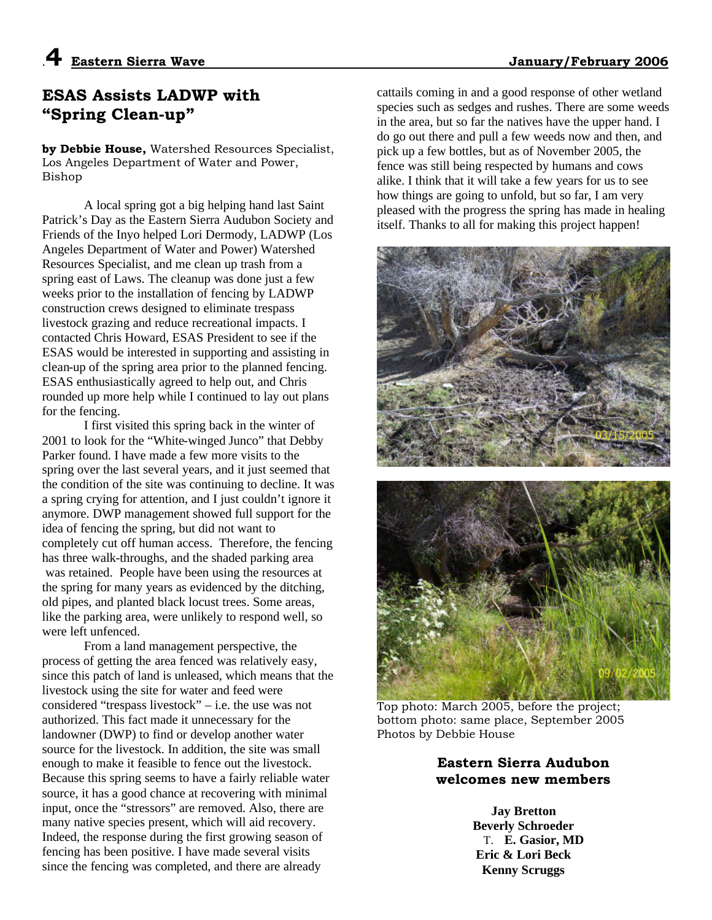## **ESAS Assists LADWP with "Spring Clean-up"**

**by Debbie House,** Watershed Resources Specialist, Los Angeles Department of Water and Power, Bishop

A local spring got a big helping hand last Saint Patrick's Day as the Eastern Sierra Audubon Society and Friends of the Inyo helped Lori Dermody, LADWP (Los Angeles Department of Water and Power) Watershed Resources Specialist, and me clean up trash from a spring east of Laws. The cleanup was done just a few weeks prior to the installation of fencing by LADWP construction crews designed to eliminate trespass livestock grazing and reduce recreational impacts. I contacted Chris Howard, ESAS President to see if the ESAS would be interested in supporting and assisting in clean-up of the spring area prior to the planned fencing. ESAS enthusiastically agreed to help out, and Chris rounded up more help while I continued to lay out plans for the fencing.

I first visited this spring back in the winter of 2001 to look for the "White-winged Junco" that Debby Parker found. I have made a few more visits to the spring over the last several years, and it just seemed that the condition of the site was continuing to decline. It was a spring crying for attention, and I just couldn't ignore it anymore. DWP management showed full support for the idea of fencing the spring, but did not want to completely cut off human access. Therefore, the fencing has three walk-throughs, and the shaded parking area was retained. People have been using the resources at the spring for many years as evidenced by the ditching, old pipes, and planted black locust trees. Some areas, like the parking area, were unlikely to respond well, so were left unfenced.

From a land management perspective, the process of getting the area fenced was relatively easy, since this patch of land is unleased, which means that the livestock using the site for water and feed were considered "trespass livestock" – i.e. the use was not authorized. This fact made it unnecessary for the landowner (DWP) to find or develop another water source for the livestock. In addition, the site was small enough to make it feasible to fence out the livestock. Because this spring seems to have a fairly reliable water source, it has a good chance at recovering with minimal input, once the "stressors" are removed. Also, there are many native species present, which will aid recovery. Indeed, the response during the first growing season of fencing has been positive. I have made several visits since the fencing was completed, and there are already

cattails coming in and a good response of other wetland species such as sedges and rushes. There are some weeds in the area, but so far the natives have the upper hand. I do go out there and pull a few weeds now and then, and pick up a few bottles, but as of November 2005, the fence was still being respected by humans and cows alike. I think that it will take a few years for us to see how things are going to unfold, but so far, I am very pleased with the progress the spring has made in healing itself. Thanks to all for making this project happen!



Top photo: March 2005, before the project; bottom photo: same place, September 2005 Photos by Debbie House

## **Eastern Sierra Audubon welcomes new members**

**Jay Bretton Beverly Schroeder** T. **E. Gasior, MD Eric & Lori Beck Kenny Scruggs**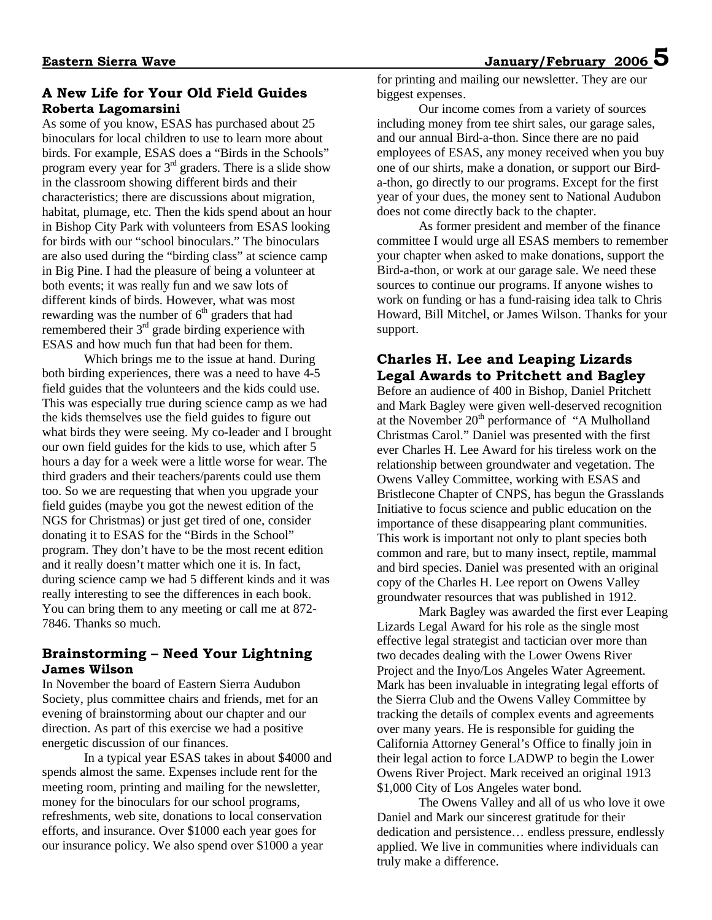## **Eastern Sierra Wave January/February 2006 5**

#### **A New Life for Your Old Field Guides Roberta Lagomarsini**

As some of you know, ESAS has purchased about 25 binoculars for local children to use to learn more about birds. For example, ESAS does a "Birds in the Schools" program every year for  $3<sup>rd</sup>$  graders. There is a slide show in the classroom showing different birds and their characteristics; there are discussions about migration, habitat, plumage, etc. Then the kids spend about an hour in Bishop City Park with volunteers from ESAS looking for birds with our "school binoculars." The binoculars are also used during the "birding class" at science camp in Big Pine. I had the pleasure of being a volunteer at both events; it was really fun and we saw lots of different kinds of birds. However, what was most rewarding was the number of  $6<sup>th</sup>$  graders that had remembered their  $3<sup>rd</sup>$  grade birding experience with ESAS and how much fun that had been for them.

Which brings me to the issue at hand. During both birding experiences, there was a need to have 4-5 field guides that the volunteers and the kids could use. This was especially true during science camp as we had the kids themselves use the field guides to figure out what birds they were seeing. My co-leader and I brought our own field guides for the kids to use, which after 5 hours a day for a week were a little worse for wear. The third graders and their teachers/parents could use them too. So we are requesting that when you upgrade your field guides (maybe you got the newest edition of the NGS for Christmas) or just get tired of one, consider donating it to ESAS for the "Birds in the School" program. They don't have to be the most recent edition and it really doesn't matter which one it is. In fact, during science camp we had 5 different kinds and it was really interesting to see the differences in each book. You can bring them to any meeting or call me at 872- 7846. Thanks so much.

#### **Brainstorming – Need Your Lightning James Wilson**

In November the board of Eastern Sierra Audubon Society, plus committee chairs and friends, met for an evening of brainstorming about our chapter and our direction. As part of this exercise we had a positive energetic discussion of our finances.

In a typical year ESAS takes in about \$4000 and spends almost the same. Expenses include rent for the meeting room, printing and mailing for the newsletter, money for the binoculars for our school programs, refreshments, web site, donations to local conservation efforts, and insurance. Over \$1000 each year goes for our insurance policy. We also spend over \$1000 a year

for printing and mailing our newsletter. They are our biggest expenses.

Our income comes from a variety of sources including money from tee shirt sales, our garage sales, and our annual Bird-a-thon. Since there are no paid employees of ESAS, any money received when you buy one of our shirts, make a donation, or support our Birda-thon, go directly to our programs. Except for the first year of your dues, the money sent to National Audubon does not come directly back to the chapter.

As former president and member of the finance committee I would urge all ESAS members to remember your chapter when asked to make donations, support the Bird-a-thon, or work at our garage sale. We need these sources to continue our programs. If anyone wishes to work on funding or has a fund-raising idea talk to Chris Howard, Bill Mitchel, or James Wilson. Thanks for your support.

## **Charles H. Lee and Leaping Lizards Legal Awards to Pritchett and Bagley**

Before an audience of 400 in Bishop, Daniel Pritchett and Mark Bagley were given well-deserved recognition at the November  $20<sup>th</sup>$  performance of "A Mulholland Christmas Carol." Daniel was presented with the first ever Charles H. Lee Award for his tireless work on the relationship between groundwater and vegetation. The Owens Valley Committee, working with ESAS and Bristlecone Chapter of CNPS, has begun the Grasslands Initiative to focus science and public education on the importance of these disappearing plant communities. This work is important not only to plant species both common and rare, but to many insect, reptile, mammal and bird species. Daniel was presented with an original copy of the Charles H. Lee report on Owens Valley groundwater resources that was published in 1912.

Mark Bagley was awarded the first ever Leaping Lizards Legal Award for his role as the single most effective legal strategist and tactician over more than two decades dealing with the Lower Owens River Project and the Inyo/Los Angeles Water Agreement. Mark has been invaluable in integrating legal efforts of the Sierra Club and the Owens Valley Committee by tracking the details of complex events and agreements over many years. He is responsible for guiding the California Attorney General's Office to finally join in their legal action to force LADWP to begin the Lower Owens River Project. Mark received an original 1913 \$1,000 City of Los Angeles water bond.

The Owens Valley and all of us who love it owe Daniel and Mark our sincerest gratitude for their dedication and persistence... endless pressure, endlessly applied. We live in communities where individuals can truly make a difference.